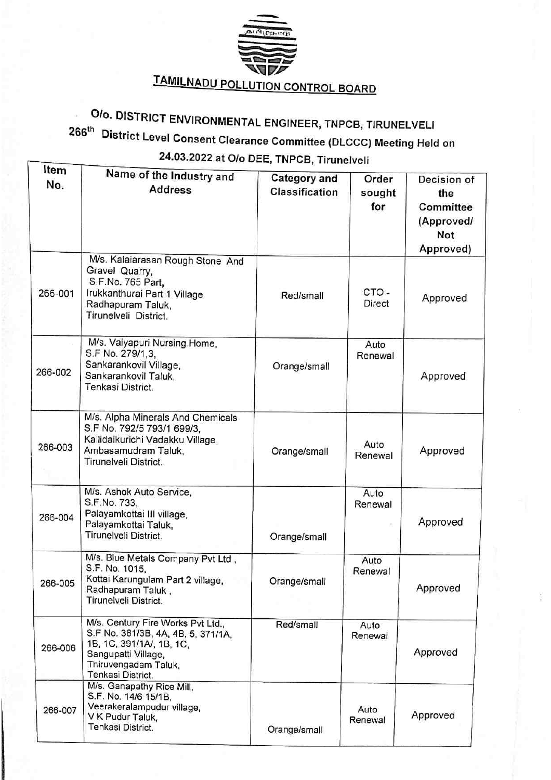

# TAMILNADU POLLUTION CONTROL BOARD

### Olo. DISTRICT ENVIRONMENTAL ENGINEER, TNPCB, TIRUNELVELI 266<sup>th</sup> District Level Consent Clearance Committee (DLCCC) Meeting Held on 24.03.2022 at O/o DEE, TNPCB, Tirunelveli

| Item    | Name of the Industry and                                                                                                                                                |                                       |                        |                                                                          |  |  |
|---------|-------------------------------------------------------------------------------------------------------------------------------------------------------------------------|---------------------------------------|------------------------|--------------------------------------------------------------------------|--|--|
| No.     | <b>Address</b>                                                                                                                                                          | <b>Category and</b><br>Classification | Order<br>sought<br>for | Decision of<br>the<br>Committee<br>(Approved/<br><b>Not</b><br>Approved) |  |  |
| 266-001 | M/s. Kalaiarasan Rough Stone And<br>Gravel Quarry,<br>S.F.No. 765 Part,<br>Irukkanthurai Part 1 Village<br>Radhapuram Taluk,<br>Tirunelveli District.                   | Red/small                             | CTO-<br>Direct         | Approved                                                                 |  |  |
| 266-002 | M/s. Vaiyapuri Nursing Home,<br>S.F No. 279/1,3,<br>Sankarankovil Village,<br>Sankarankovil Taluk,<br>Tenkasi District.                                                 | Orange/small                          | Auto<br>Renewal        | Approved                                                                 |  |  |
| 266-003 | M/s. Alpha Minerals And Chemicals<br>S.F No. 792/5 793/1 699/3,<br>Kallidaikurichi Vadakku Village,<br>Ambasamudram Taluk,<br>Tirunelveli District.                     | Orange/small                          | Auto<br>Renewal        | Approved                                                                 |  |  |
| 266-004 | M/s. Ashok Auto Service,<br>S.F.No. 733,<br>Palayamkottai III village,<br>Palayamkottai Taluk,<br>Tirunelveli District.                                                 | Orange/small                          | Auto<br>Renewal        | Approved                                                                 |  |  |
| 266-005 | M/s. Blue Metals Company Pvt Ltd,<br>S.F. No. 1015,<br>Kottai Karungulam Part 2 village,<br>Radhapuram Taluk,<br>Tirunelveli District.                                  | Orange/small                          | Auto<br>Renewal        | Approved                                                                 |  |  |
| 266-006 | M/s. Century Fire Works Pvt Ltd.,<br>S.F No. 381/3B, 4A, 4B, 5, 371/1A,<br>1B, 1C, 391/1A/, 1B, 1C,<br>Sangupatti Village,<br>Thiruvengadam Taluk,<br>Tenkasi District. | Red/small                             | Auto<br>Renewal        | Approved                                                                 |  |  |
| 266-007 | M/s. Ganapathy Rice Mill,<br>S.F. No. 14/6 15/1B,<br>Veerakeralampudur village,<br>V K Pudur Taluk,<br>Tenkasi District.                                                | Orange/small                          | Auto<br>Renewal        | Approved                                                                 |  |  |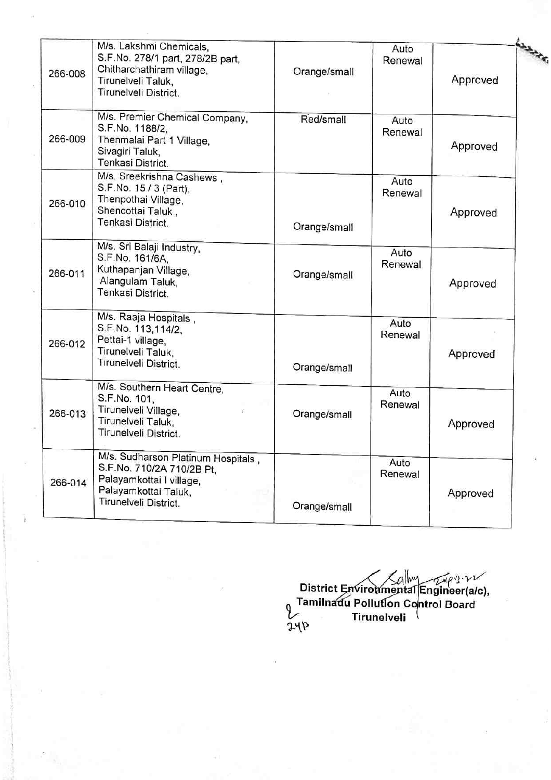| 266-008 | M/s. Lakshmi Chemicals,<br>S.F.No. 278/1 part, 278/2B part,<br>Chitharchathiram village,<br>Tirunelveli Taluk,<br>Tirunelveli District.      | Orange/small | Auto<br>Renewal | Approved |  |
|---------|----------------------------------------------------------------------------------------------------------------------------------------------|--------------|-----------------|----------|--|
| 266-009 | M/s. Premier Chemical Company,<br>S.F.No. 1188/2,<br>Thenmalai Part 1 Village,<br>Sivagiri Taluk,<br>Tenkasi District.                       | Red/small    | Auto<br>Renewal | Approved |  |
| 266-010 | M/s. Sreekrishna Cashews,<br>S.F.No. 15 / 3 (Part),<br>Thenpothai Village,<br>Shencottai Taluk,<br>Tenkasi District.                         | Orange/small | Auto<br>Renewal | Approved |  |
| 266-011 | M/s. Sri Balaji Industry,<br>S.F.No. 161/6A.<br>Kuthapanjan Village,<br>Alangulam Taluk,<br>Tenkasi District.                                | Orange/small | Auto<br>Renewal | Approved |  |
| 266-012 | M/s. Raaja Hospitals,<br>S.F.No. 113,114/2,<br>Pettai-1 village,<br>Tirunelveli Taluk,<br>Tirunelveli District.                              | Orange/small | Auto<br>Renewal | Approved |  |
| 266-013 | M/s. Southern Heart Centre,<br>S.F.No. 101,<br>Tirunelveli Village,<br>Tirunelveli Taluk,<br>Tirunelveli District.                           | Orange/small | Auto<br>Renewal | Approved |  |
| 266-014 | M/s. Sudharson Platinum Hospitals,<br>S.F.No. 710/2A 710/2B Pt,<br>Palayamkottai I village,<br>Palayamkottai Taluk,<br>Tirunelveli District. | Orange/small | Auto<br>Renewal | Approved |  |

District Environmental Engineer(a/c), <sub>0</sub> Tamilnadu Pollution Control Board Tirunelveli